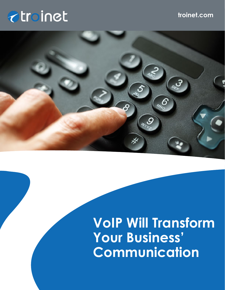# *<u>atroinet</u>*

### **troinet.com**



## **VoIP Will Transform Your Business' Communication**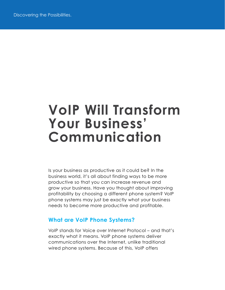### **VoIP Will Transform Your Business' Communication**

Is your business as productive as it could be? In the business world, it's all about finding ways to be more productive so that you can increase revenue and grow your business. Have you thought about improving profitability by choosing a different phone system? VoIP phone systems may just be exactly what your business needs to become more productive and profitable.

#### **What are VoIP Phone Systems?**

VoIP stands for Voice over Internet Protocol – and that's exactly what it means. VoIP phone systems deliver communications over the Internet, unlike traditional wired phone systems. Because of this, VoIP offers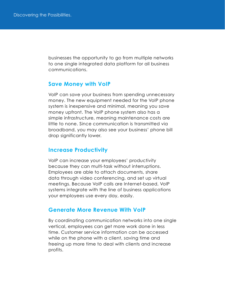businesses the opportunity to go from multiple networks to one single integrated data platform for all business communications.

#### **Save Money with VoIP**

VoIP can save your business from spending unnecessary money. The new equipment needed for the VoIP phone system is inexpensive and minimal, meaning you save money upfront. The VoIP phone system also has a simple infrastructure, meaning maintenance costs are little to none. Since communication is transmitted via broadband, you may also see your business' phone bill drop significantly lower.

#### **Increase Productivity**

VoIP can increase your employees' productivity because they can multi-task without interruptions. Employees are able to attach documents, share data through video conferencing, and set up virtual meetings. Because VoIP calls are Internet-based, VoIP systems integrate with the line of business applications your employees use every day, easily.

#### **Generate More Revenue With VoIP**

By coordinating communication networks into one single vertical, employees can get more work done in less time. Customer service information can be accessed while on the phone with a client, saving time and freeing up more time to deal with clients and increase profits.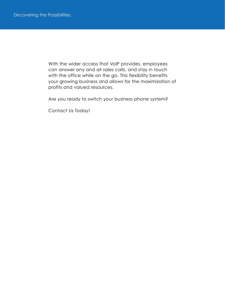With the wider access that VoIP provides, employees can answer any and all sales calls, and stay in touch with the office while on the go. This flexibility benefits your growing business and allows for the maximization of profits and valued resources.

Are you ready to switch your business phone system?

Contact Us Today!